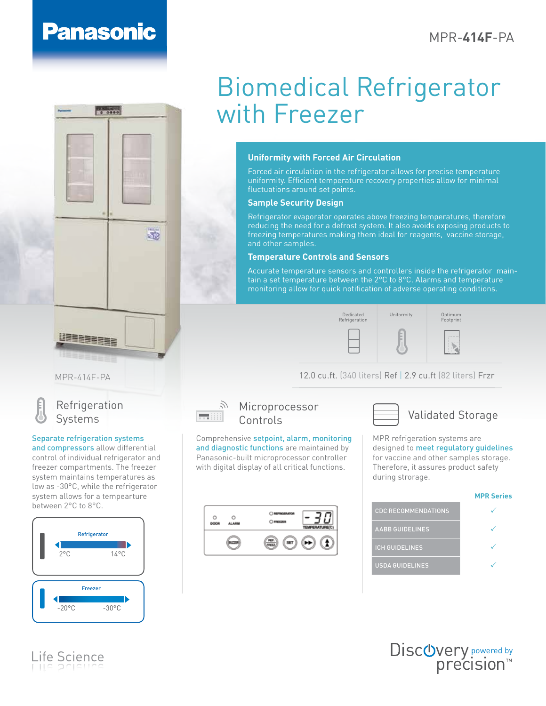# **Panasonic**

--



## **Uniformity with Forced Air Circulation**

Forced air circulation in the refrigerator allows for precise temperature uniformity. Efficient temperature recovery properties allow for minimal fluctuations around set points.

## **Sample Security Design**

Refrigerator evaporator operates above freezing temperatures, therefore reducing the need for a defrost system. It also avoids exposing products to freezing temperatures making them ideal for reagents, vaccine storage, and other samples.

## **Temperature Controls and Sensors**

Accurate temperature sensors and controllers inside the refrigerator maintain a set temperature between the 2°C to 8°C. Alarms and temperature monitoring allow for quick notification of adverse operating conditions.

Dedicated Uniformity Refrigeration



 $-52$ 

MPR-414F-PA



## Refrigeration Systems

### Separate refrigeration systems

and compressors allow differential control of individual refrigerator and freezer compartments. The freezer system maintains temperatures as low as -30°C, while the refrigerator system allows for a tempearture between 2°C to 8°C.



Life Science



## $\mathbb{R}^N$  Microprocessor Controls

Comprehensive setpoint, alarm, monitoring and diagnostic functions are maintained by Panasonic-built microprocessor controller with digital display of all critical functions.





12.0 cu.ft. (340 liters) Ref | 2.9 cu.ft (82 liters) Frzr

MPR refrigeration systems are designed to meet regulatory quidelines for vaccine and other samples storage. Therefore, it assures product safety during strorage.

Optimum Footprint

#### **MPR Series**

| <b>CDC RECOMMENDATIONS</b> |  |
|----------------------------|--|
| <b>AABB GUIDELINES</b>     |  |
| <b>ICH GUIDELINES</b>      |  |
| <b>USDA GUIDELINES</b>     |  |